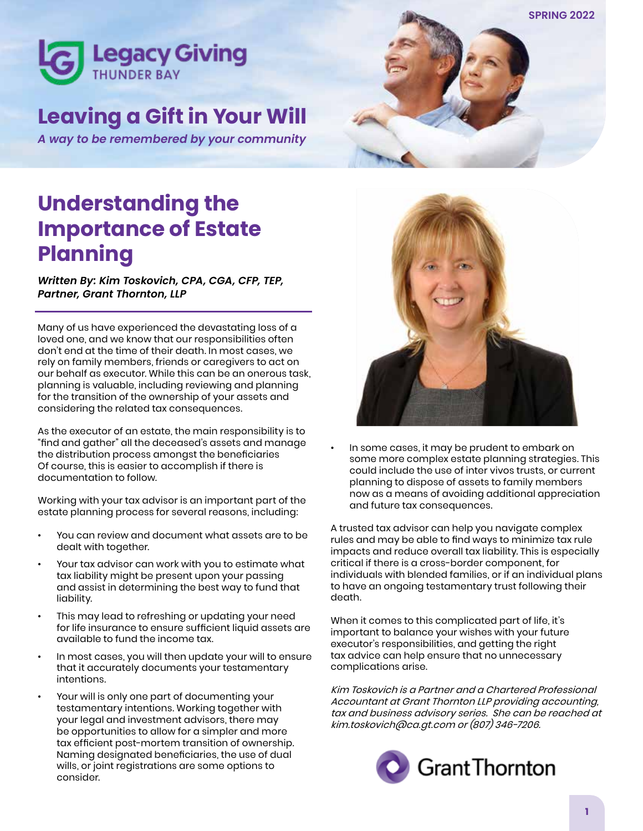

# **Leaving a Gift in Your Will**

*A way to be remembered by your community*



# **Understanding the Importance of Estate Planning**

*Written By: Kim Toskovich, CPA, CGA, CFP, TEP, Partner, Grant Thornton, LLP*

Many of us have experienced the devastating loss of a loved one, and we know that our responsibilities often don't end at the time of their death. In most cases, we rely on family members, friends or caregivers to act on our behalf as executor. While this can be an onerous task, planning is valuable, including reviewing and planning for the transition of the ownership of your assets and considering the related tax consequences.

As the executor of an estate, the main responsibility is to "find and gather" all the deceased's assets and manage the distribution process amongst the beneficiaries Of course, this is easier to accomplish if there is documentation to follow.

Working with your tax advisor is an important part of the estate planning process for several reasons, including:

- You can review and document what assets are to be dealt with together.
- Your tax advisor can work with you to estimate what tax liability might be present upon your passing and assist in determining the best way to fund that liability.
- This may lead to refreshing or updating your need for life insurance to ensure sufficient liquid assets are available to fund the income tax.
- In most cases, you will then update your will to ensure that it accurately documents your testamentary intentions.
- Your will is only one part of documenting your testamentary intentions. Working together with your legal and investment advisors, there may be opportunities to allow for a simpler and more tax efficient post-mortem transition of ownership. Naming designated beneficiaries, the use of dual wills, or joint registrations are some options to consider.



• In some cases, it may be prudent to embark on some more complex estate planning strategies. This could include the use of inter vivos trusts, or current planning to dispose of assets to family members now as a means of avoiding additional appreciation and future tax consequences.

A trusted tax advisor can help you navigate complex rules and may be able to find ways to minimize tax rule impacts and reduce overall tax liability. This is especially critical if there is a cross-border component, for individuals with blended families, or if an individual plans to have an ongoing testamentary trust following their death.

When it comes to this complicated part of life, it's important to balance your wishes with your future executor's responsibilities, and getting the right tax advice can help ensure that no unnecessary complications arise.

Kim Toskovich is a Partner and a Chartered Professional Accountant at Grant Thornton LLP providing accounting, tax and business advisory series. She can be reached at kim.toskovich@ca.gt.com or (807) 346-7206.

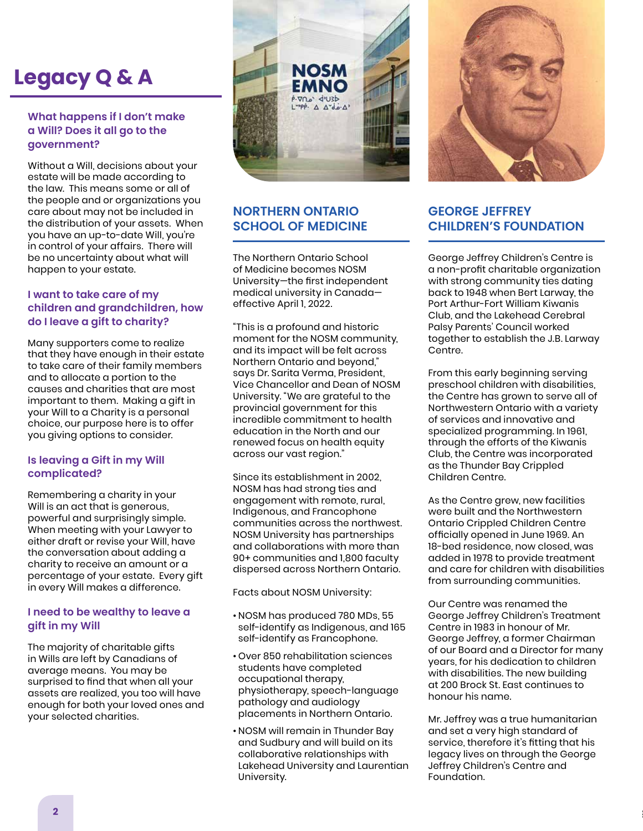# **Legacy Q & A**

#### **What happens if I don't make a Will? Does it all go to the government?**

Without a Will, decisions about your estate will be made according to the law. This means some or all of the people and or organizations you care about may not be included in the distribution of your assets. When you have an up-to-date Will, you're in control of your affairs. There will be no uncertainty about what will happen to your estate.

#### **I want to take care of my children and grandchildren, how do I leave a gift to charity?**

Many supporters come to realize that they have enough in their estate to take care of their family members and to allocate a portion to the causes and charities that are most important to them. Making a gift in your Will to a Charity is a personal choice, our purpose here is to offer you giving options to consider.

#### **Is leaving a Gift in my Will complicated?**

Remembering a charity in your Will is an act that is generous, powerful and surprisingly simple. When meeting with your Lawyer to either draft or revise your Will, have the conversation about adding a charity to receive an amount or a percentage of your estate. Every gift in every Will makes a difference.

#### **I need to be wealthy to leave a gift in my Will**

The majority of charitable gifts in Wills are left by Canadians of average means. You may be surprised to find that when all your assets are realized, you too will have enough for both your loved ones and your selected charities.



# **NORTHERN ONTARIO SCHOOL OF MEDICINE**

The Northern Ontario School of Medicine becomes NOSM University—the first independent medical university in Canada effective April 1, 2022.

"This is a profound and historic moment for the NOSM community, and its impact will be felt across Northern Ontario and beyond," says Dr. Sarita Verma, President, Vice Chancellor and Dean of NOSM University. "We are grateful to the provincial government for this incredible commitment to health education in the North and our renewed focus on health equity across our vast region."

Since its establishment in 2002, NOSM has had strong ties and engagement with remote, rural, Indigenous, and Francophone communities across the northwest. NOSM University has partnerships and collaborations with more than 90+ communities and 1,800 faculty dispersed across Northern Ontario.

Facts about NOSM University:

- NOSM has produced 780 MDs, 55 self-identify as Indigenous, and 165 self-identify as Francophone.
- Over 850 rehabilitation sciences students have completed occupational therapy, physiotherapy, speech-language pathology and audiology placements in Northern Ontario.
- NOSM will remain in Thunder Bay and Sudbury and will build on its collaborative relationships with Lakehead University and Laurentian University.



# **GEORGE JEFFREY CHILDREN'S FOUNDATION**

George Jeffrey Children's Centre is a non-profit charitable organization with strong community ties dating back to 1948 when Bert Larway, the Port Arthur-Fort William Kiwanis Club, and the Lakehead Cerebral Palsy Parents' Council worked together to establish the J.B. Larway Centre.

From this early beginning serving preschool children with disabilities, the Centre has grown to serve all of Northwestern Ontario with a variety of services and innovative and specialized programming. In 1961, through the efforts of the Kiwanis Club, the Centre was incorporated as the Thunder Bay Crippled Children Centre.

As the Centre grew, new facilities were built and the Northwestern Ontario Crippled Children Centre officially opened in June 1969. An 18-bed residence, now closed, was added in 1978 to provide treatment and care for children with disabilities from surrounding communities.

Our Centre was renamed the George Jeffrey Children's Treatment Centre in 1983 in honour of Mr. George Jeffrey, a former Chairman of our Board and a Director for many years, for his dedication to children with disabilities. The new building at 200 Brock St. East continues to honour his name.

Mr. Jeffrey was a true humanitarian and set a very high standard of service, therefore it's fitting that his legacy lives on through the George Jeffrey Children's Centre and Foundation.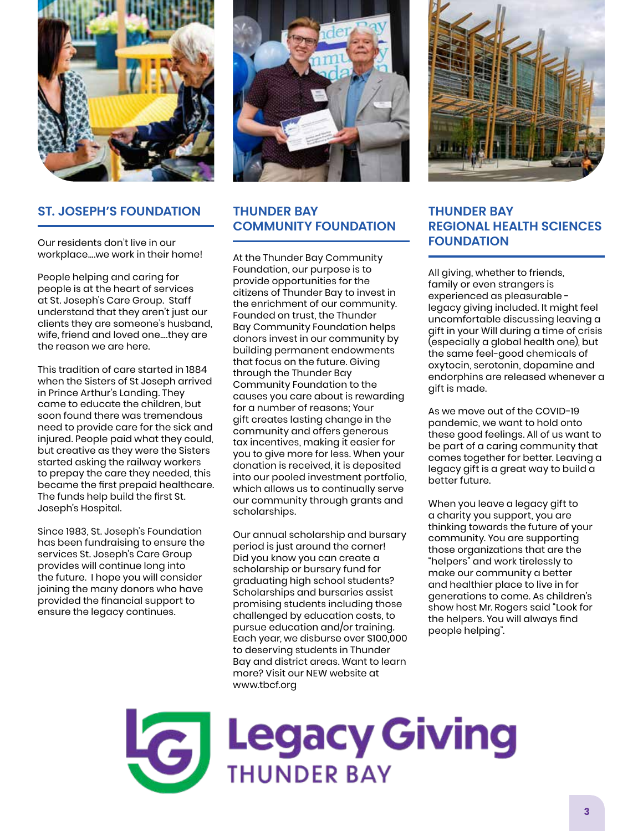

#### **ST. JOSEPH'S FOUNDATION**

Our residents don't live in our workplace….we work in their home!

People helping and caring for people is at the heart of services at St. Joseph's Care Group. Staff understand that they aren't just our clients they are someone's husband, wife, friend and loved one….they are the reason we are here.

This tradition of care started in 1884 when the Sisters of St Joseph arrived in Prince Arthur's Landing. They came to educate the children, but soon found there was tremendous need to provide care for the sick and injured. People paid what they could, but creative as they were the Sisters started asking the railway workers to prepay the care they needed, this became the first prepaid healthcare. The funds help build the first St. Joseph's Hospital.

Since 1983, St. Joseph's Foundation has been fundraising to ensure the services St. Joseph's Care Group provides will continue long into the future. I hope you will consider joining the many donors who have provided the financial support to ensure the legacy continues.



## **THUNDER BAY COMMUNITY FOUNDATION**

At the Thunder Bay Community Foundation, our purpose is to provide opportunities for the citizens of Thunder Bay to invest in the enrichment of our community. Founded on trust, the Thunder Bay Community Foundation helps donors invest in our community by building permanent endowments that focus on the future. Giving through the Thunder Bay Community Foundation to the causes you care about is rewarding for a number of reasons; Your gift creates lasting change in the community and offers generous tax incentives, making it easier for you to give more for less. When your donation is received, it is deposited into our pooled investment portfolio, which allows us to continually serve our community through grants and scholarships.

Our annual scholarship and bursary period is just around the corner! Did you know you can create a scholarship or bursary fund for graduating high school students? Scholarships and bursaries assist promising students including those challenged by education costs, to pursue education and/or training. Each year, we disburse over \$100,000 to deserving students in Thunder Bay and district areas. Want to learn more? Visit our NEW website at www.tbcf.org



# **THUNDER BAY REGIONAL HEALTH SCIENCES FOUNDATION**

All giving, whether to friends, family or even strangers is experienced as pleasurable legacy giving included. It might feel uncomfortable discussing leaving a gift in your Will during a time of crisis (especially a global health one), but the same feel-good chemicals of oxytocin, serotonin, dopamine and endorphins are released whenever a gift is made.

As we move out of the COVID-19 pandemic, we want to hold onto these good feelings. All of us want to be part of a caring community that comes together for better. Leaving a legacy gift is a great way to build a better future.

When you leave a legacy gift to a charity you support, you are thinking towards the future of your community. You are supporting those organizations that are the "helpers" and work tirelessly to make our community a better and healthier place to live in for generations to come. As children's show host Mr. Rogers said "Look for the helpers. You will always find people helping".